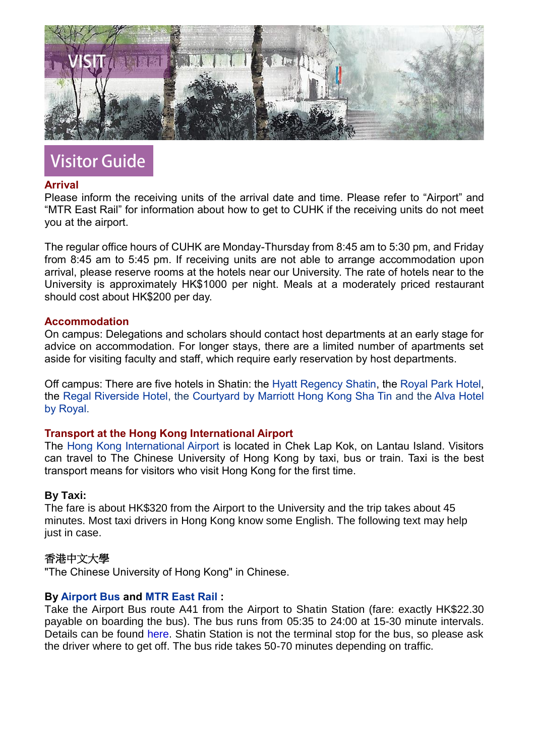

# **Visitor Guide**

# **Arrival**

Please inform the receiving units of the arrival date and time. Please refer to "Airport" and "MTR East Rail" for information about how to get to CUHK if the receiving units do not meet you at the airport.

The regular office hours of CUHK are Monday-Thursday from 8:45 am to 5:30 pm, and Friday from 8:45 am to 5:45 pm. If receiving units are not able to arrange accommodation upon arrival, please reserve rooms at the hotels near our University. The rate of hotels near to the University is approximately HK\$1000 per night. Meals at a moderately priced restaurant should cost about HK\$200 per day.

# **Accommodation**

On campus: Delegations and scholars should contact host departments at an early stage for advice on accommodation. For longer stays, there are a limited number of apartments set aside for visiting faculty and staff, which require early reservation by host departments.

Off campus: There are five hotels in Shatin: the [Hyatt Regency Shatin,](https://www.hyatt.com/en-US/hotel/china/hyatt-regency-hong-kong-sha-tin/shahr) the [Royal Park Hotel,](https://www.royalpark.com.hk/en/) the [Regal Riverside Hotel,](https://www.regalhotel.com/regal-riverside-hotel/en/home/home.html) the [Courtyard by Marriott Hong Kong Sha Tin](https://myclubmarriott.com/en/hotels-resorts/courtyard-marriott-hong-kong-sha-tin) and the [Alva Hotel](https://www.alva.com.hk/en/)  [by Royal.](https://www.alva.com.hk/en/)

# **Transport at the Hong Kong International Airport**

The [Hong Kong International Airport](https://www.hongkongairport.com/en/) is located in Chek Lap Kok, on Lantau Island. Visitors can travel to The Chinese University of Hong Kong by taxi, bus or train. Taxi is the best transport means for visitors who visit Hong Kong for the first time.

# **By Taxi:**

The fare is about HK\$320 from the Airport to the University and the trip takes about 45 minutes. Most taxi drivers in Hong Kong know some English. The following text may help just in case.

# 香港中文大學

"The Chinese University of Hong Kong" in Chinese.

# **By [Airport Bus](https://www.hongkongairport.com/en/transport/to-from-airport/public-buses.page) and [MTR East Rail](http://www.mtr.com.hk/en/customer/main/index.html) :**

Take the Airport Bus route A41 from the Airport to Shatin Station (fare: exactly HK\$22.30 payable on boarding the bus). The bus runs from 05:35 to 24:00 at 15-30 minute intervals. Details can be found [here.](http://www.lwb.hk/en/routeintroduction.html#airbus) Shatin Station is not the terminal stop for the bus, so please ask the driver where to get off. The bus ride takes 50-70 minutes depending on traffic.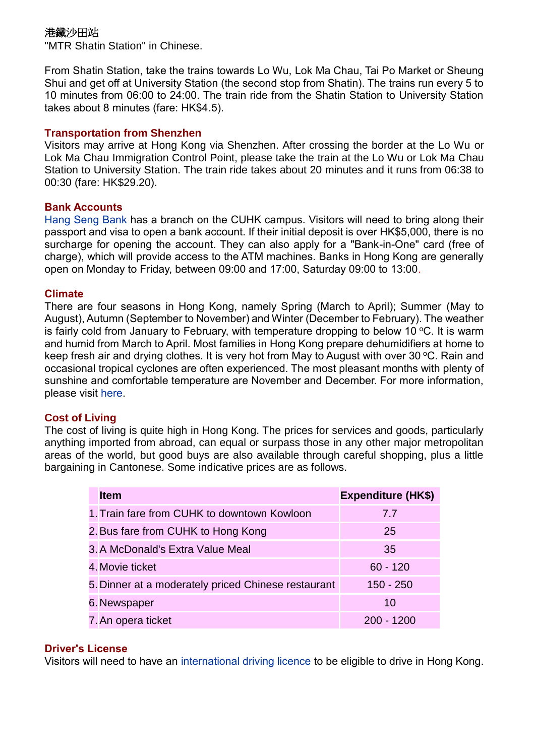# 港鐵沙田站

"MTR Shatin Station" in Chinese.

From Shatin Station, take the trains towards Lo Wu, Lok Ma Chau, Tai Po Market or Sheung Shui and get off at University Station (the second stop from Shatin). The trains run every 5 to 10 minutes from 06:00 to 24:00. The train ride from the Shatin Station to University Station takes about 8 minutes (fare: HK\$4.5).

# **Transportation from Shenzhen**

Visitors may arrive at Hong Kong via Shenzhen. After crossing the border at the Lo Wu or Lok Ma Chau Immigration Control Point, please take the train at the Lo Wu or Lok Ma Chau Station to University Station. The train ride takes about 20 minutes and it runs from 06:38 to 00:30 (fare: HK\$29.20).

# **Bank Accounts**

[Hang Seng Bank](https://www.hangseng.com/en-hk/home/) has a branch on the CUHK campus. Visitors will need to bring along their passport and visa to open a bank account. If their initial deposit is over HK\$5,000, there is no surcharge for opening the account. They can also apply for a "Bank-in-One" card (free of charge), which will provide access to the ATM machines. Banks in Hong Kong are generally open on Monday to Friday, between 09:00 and 17:00, Saturday 09:00 to 13:00.

# **Climate**

There are four seasons in Hong Kong, namely Spring (March to April); Summer (May to August), Autumn (September to November) and Winter (December to February). The weather is fairly cold from January to February, with temperature dropping to below 10  $\degree$ C. It is warm and humid from March to April. Most families in Hong Kong prepare dehumidifiers at home to keep fresh air and drying clothes. It is very hot from May to August with over 30 °C. Rain and occasional tropical cyclones are often experienced. The most pleasant months with plenty of sunshine and comfortable temperature are November and December. For more information, please visit [here.](http://www.weather.gov.hk/en/index.html)

# **Cost of Living**

The cost of living is quite high in Hong Kong. The prices for services and goods, particularly anything imported from abroad, can equal or surpass those in any other major metropolitan areas of the world, but good buys are also available through careful shopping, plus a little bargaining in Cantonese. Some indicative prices are as follows.

| <b>Item</b>                                         | <b>Expenditure (HK\$)</b> |
|-----------------------------------------------------|---------------------------|
| 1. Train fare from CUHK to downtown Kowloon         | 7.7                       |
| 2. Bus fare from CUHK to Hong Kong                  | 25                        |
| 3. A McDonald's Extra Value Meal                    | 35                        |
| 4. Movie ticket                                     | $60 - 120$                |
| 5. Dinner at a moderately priced Chinese restaurant | 150 - 250                 |
| 6. Newspaper                                        | 10                        |
| 7. An opera ticket                                  | $200 - 1200$              |

# **Driver's License**

Visitors will need to have an [international driving licence](https://www.td.gov.hk/en/home/index.html) to be eligible to drive in Hong Kong.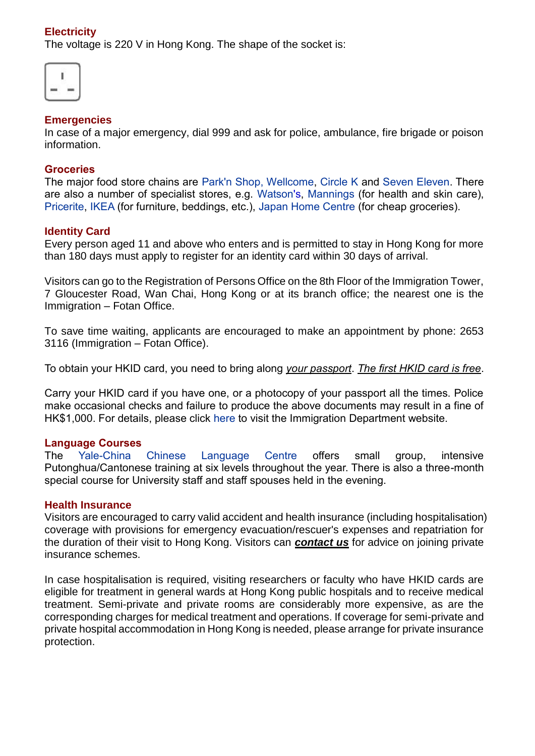# **Electricity**

The voltage is 220 V in Hong Kong. The shape of the socket is:

| ٠             | - 5<br>š |
|---------------|----------|
| ۰             | ÷<br>ö   |
| ٠<br>kt.<br>l | Z,<br>÷  |
| I<br>÷        | ŗ        |

#### **Emergencies**

In case of a major emergency, dial 999 and ask for police, ambulance, fire brigade or poison information.

#### **Groceries**

The major food store chains are [Park'n Shop,](https://www.parknshop.com/en/) [Wellcome,](https://www.wellcome.com.hk/wd2shop/en/html/index.html) [Circle](https://www.circlek.hk/en) K and [Seven Eleven.](https://www.7-11.com.tw/en/index.html) There are also a number of specialist stores, e.g. [Watson's,](https://www.watsons.com.hk/) [Mannings](https://www.mannings.com.hk/) (for health and skin care), [Pricerite,](https://hongkong.pricerite.com.hk/) [IKEA](http://www.ikea.com/hk/en) (for furniture, beddings, etc.), [Japan Home Centre](https://www.jhceshop.com/) (for cheap groceries).

# **Identity Card**

Every person aged 11 and above who enters and is permitted to stay in Hong Kong for more than 180 days must apply to register for an identity card within 30 days of arrival.

Visitors can go to the Registration of Persons Office on the 8th Floor of the Immigration Tower, 7 Gloucester Road, Wan Chai, Hong Kong or at its branch office; the nearest one is the Immigration – Fotan Office.

To save time waiting, applicants are encouraged to make an appointment by phone: 2653 3116 (Immigration – Fotan Office).

To obtain your HKID card, you need to bring along *your passport*. *The first HKID card is free*.

Carry your HKID card if you have one, or a photocopy of your passport all the times. Police make occasional checks and failure to produce the above documents may result in a fine of HK\$1,000. For details, please click [here](https://www.immd.gov.hk/eng/index.html) to visit the Immigration Department website.

#### **Language Courses**

The [Yale-China Chinese Language Centre](https://www.ycclc.cuhk.edu.hk/) offers small group, intensive Putonghua/Cantonese training at six levels throughout the year. There is also a three-month special course for University staff and staff spouses held in the evening.

#### **Health Insurance**

Visitors are encouraged to carry valid accident and health insurance (including hospitalisation) coverage with provisions for emergency evacuation/rescuer's expenses and repatriation for the duration of their visit to Hong Kong. Visitors can *contact us* for advice on joining private insurance schemes.

In case hospitalisation is required, visiting researchers or faculty who have HKID cards are eligible for treatment in general wards at Hong Kong public hospitals and to receive medical treatment. Semi-private and private rooms are considerably more expensive, as are the corresponding charges for medical treatment and operations. If coverage for semi-private and private hospital accommodation in Hong Kong is needed, please arrange for private insurance protection.